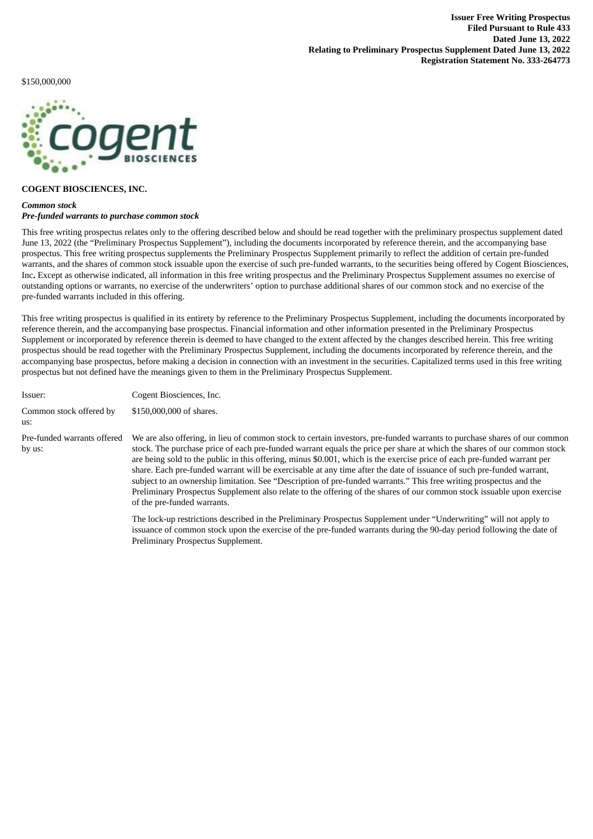\$150,000,000



# **COGENT BIOSCIENCES, INC.**

## *Common stock Pre-funded warrants to purchase common stock*

This free writing prospectus relates only to the offering described below and should be read together with the preliminary prospectus supplement dated June 13, 2022 (the "Preliminary Prospectus Supplement"), including the documents incorporated by reference therein, and the accompanying base prospectus. This free writing prospectus supplements the Preliminary Prospectus Supplement primarily to reflect the addition of certain pre-funded warrants, and the shares of common stock issuable upon the exercise of such pre-funded warrants, to the securities being offered by Cogent Biosciences, Inc**.** Except as otherwise indicated, all information in this free writing prospectus and the Preliminary Prospectus Supplement assumes no exercise of outstanding options or warrants, no exercise of the underwriters' option to purchase additional shares of our common stock and no exercise of the pre-funded warrants included in this offering.

This free writing prospectus is qualified in its entirety by reference to the Preliminary Prospectus Supplement, including the documents incorporated by reference therein, and the accompanying base prospectus. Financial information and other information presented in the Preliminary Prospectus Supplement or incorporated by reference therein is deemed to have changed to the extent affected by the changes described herein. This free writing prospectus should be read together with the Preliminary Prospectus Supplement, including the documents incorporated by reference therein, and the accompanying base prospectus, before making a decision in connection with an investment in the securities. Capitalized terms used in this free writing prospectus but not defined have the meanings given to them in the Preliminary Prospectus Supplement.

| Issuer:                               | Cogent Biosciences, Inc.                                                                                                                                                                                                                                                                                                                                                                                                                                                                                                                                                                                                                                                                                                                                                                |
|---------------------------------------|-----------------------------------------------------------------------------------------------------------------------------------------------------------------------------------------------------------------------------------------------------------------------------------------------------------------------------------------------------------------------------------------------------------------------------------------------------------------------------------------------------------------------------------------------------------------------------------------------------------------------------------------------------------------------------------------------------------------------------------------------------------------------------------------|
| Common stock offered by<br>us:        | \$150,000,000 of shares.                                                                                                                                                                                                                                                                                                                                                                                                                                                                                                                                                                                                                                                                                                                                                                |
| Pre-funded warrants offered<br>by us: | We are also offering, in lieu of common stock to certain investors, pre-funded warrants to purchase shares of our common<br>stock. The purchase price of each pre-funded warrant equals the price per share at which the shares of our common stock<br>are being sold to the public in this offering, minus \$0.001, which is the exercise price of each pre-funded warrant per<br>share. Each pre-funded warrant will be exercisable at any time after the date of issuance of such pre-funded warrant,<br>subject to an ownership limitation. See "Description of pre-funded warrants." This free writing prospectus and the<br>Preliminary Prospectus Supplement also relate to the offering of the shares of our common stock issuable upon exercise<br>of the pre-funded warrants. |
|                                       | The lock-up restrictions described in the Preliminary Prospectus Supplement under "Underwriting" will not apply to<br>issuance of common stock upon the exercise of the pre-funded warrants during the 90-day period following the date of                                                                                                                                                                                                                                                                                                                                                                                                                                                                                                                                              |

Preliminary Prospectus Supplement.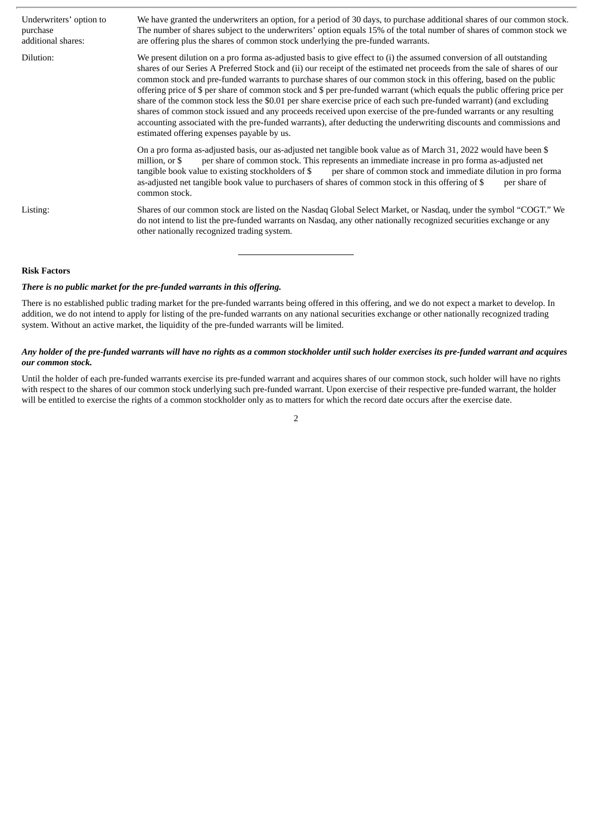| Underwriters' option to<br>purchase<br>additional shares: | We have granted the underwriters an option, for a period of 30 days, to purchase additional shares of our common stock.<br>The number of shares subject to the underwriters' option equals 15% of the total number of shares of common stock we<br>are offering plus the shares of common stock underlying the pre-funded warrants.                                                                                                                                                                                                                                                                                                                                                                                                                                                                                                                                                                               |
|-----------------------------------------------------------|-------------------------------------------------------------------------------------------------------------------------------------------------------------------------------------------------------------------------------------------------------------------------------------------------------------------------------------------------------------------------------------------------------------------------------------------------------------------------------------------------------------------------------------------------------------------------------------------------------------------------------------------------------------------------------------------------------------------------------------------------------------------------------------------------------------------------------------------------------------------------------------------------------------------|
| Dilution:                                                 | We present dilution on a pro forma as-adjusted basis to give effect to (i) the assumed conversion of all outstanding<br>shares of our Series A Preferred Stock and (ii) our receipt of the estimated net proceeds from the sale of shares of our<br>common stock and pre-funded warrants to purchase shares of our common stock in this offering, based on the public<br>offering price of \$ per share of common stock and \$ per pre-funded warrant (which equals the public offering price per<br>share of the common stock less the \$0.01 per share exercise price of each such pre-funded warrant) (and excluding<br>shares of common stock issued and any proceeds received upon exercise of the pre-funded warrants or any resulting<br>accounting associated with the pre-funded warrants), after deducting the underwriting discounts and commissions and<br>estimated offering expenses payable by us. |
|                                                           | On a pro forma as-adjusted basis, our as-adjusted net tangible book value as of March 31, 2022 would have been \$<br>per share of common stock. This represents an immediate increase in pro forma as-adjusted net<br>million, or \$<br>per share of common stock and immediate dilution in pro forma<br>tangible book value to existing stockholders of \$<br>as-adjusted net tangible book value to purchasers of shares of common stock in this offering of \$<br>per share of<br>common stock.                                                                                                                                                                                                                                                                                                                                                                                                                |
| Listing:                                                  | Shares of our common stock are listed on the Nasdaq Global Select Market, or Nasdaq, under the symbol "COGT." We<br>do not intend to list the pre-funded warrants on Nasdaq, any other nationally recognized securities exchange or any<br>other nationally recognized trading system.                                                                                                                                                                                                                                                                                                                                                                                                                                                                                                                                                                                                                            |

## **Risk Factors**

# *There is no public market for the pre-funded warrants in this offering.*

There is no established public trading market for the pre-funded warrants being offered in this offering, and we do not expect a market to develop. In addition, we do not intend to apply for listing of the pre-funded warrants on any national securities exchange or other nationally recognized trading system. Without an active market, the liquidity of the pre-funded warrants will be limited.

# Any holder of the pre-funded warrants will have no rights as a common stockholder until such holder exercises its pre-funded warrant and acquires *our common stock.*

Until the holder of each pre-funded warrants exercise its pre-funded warrant and acquires shares of our common stock, such holder will have no rights with respect to the shares of our common stock underlying such pre-funded warrant. Upon exercise of their respective pre-funded warrant, the holder will be entitled to exercise the rights of a common stockholder only as to matters for which the record date occurs after the exercise date.

2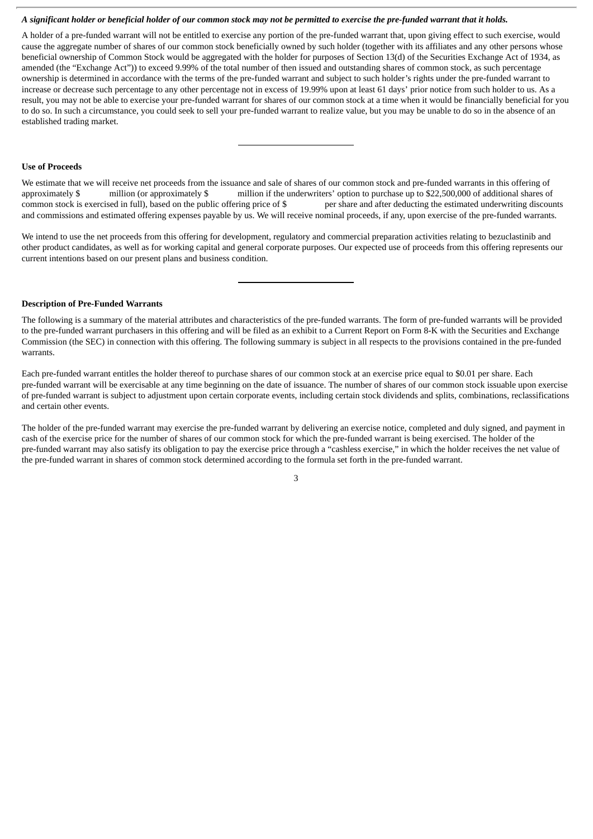## A significant holder or beneficial holder of our common stock may not be permitted to exercise the pre-funded warrant that it holds.

A holder of a pre-funded warrant will not be entitled to exercise any portion of the pre-funded warrant that, upon giving effect to such exercise, would cause the aggregate number of shares of our common stock beneficially owned by such holder (together with its affiliates and any other persons whose beneficial ownership of Common Stock would be aggregated with the holder for purposes of Section 13(d) of the Securities Exchange Act of 1934, as amended (the "Exchange Act")) to exceed 9.99% of the total number of then issued and outstanding shares of common stock, as such percentage ownership is determined in accordance with the terms of the pre-funded warrant and subject to such holder's rights under the pre-funded warrant to increase or decrease such percentage to any other percentage not in excess of 19.99% upon at least 61 days' prior notice from such holder to us. As a result, you may not be able to exercise your pre-funded warrant for shares of our common stock at a time when it would be financially beneficial for you to do so. In such a circumstance, you could seek to sell your pre-funded warrant to realize value, but you may be unable to do so in the absence of an established trading market.

### **Use of Proceeds**

We estimate that we will receive net proceeds from the issuance and sale of shares of our common stock and pre-funded warrants in this offering of approximately \$ million (or approximately \$ million if the underwriters' option to purchase up to \$22,500,000 of additional shares of common stock is exercised in full), based on the public offering price of \$ per share and after deducting the estimated underwriting discounts and commissions and estimated offering expenses payable by us. We will receive nominal proceeds, if any, upon exercise of the pre-funded warrants.

We intend to use the net proceeds from this offering for development, regulatory and commercial preparation activities relating to bezuclastinib and other product candidates, as well as for working capital and general corporate purposes. Our expected use of proceeds from this offering represents our current intentions based on our present plans and business condition.

#### **Description of Pre-Funded Warrants**

The following is a summary of the material attributes and characteristics of the pre-funded warrants. The form of pre-funded warrants will be provided to the pre-funded warrant purchasers in this offering and will be filed as an exhibit to a Current Report on Form 8-K with the Securities and Exchange Commission (the SEC) in connection with this offering. The following summary is subject in all respects to the provisions contained in the pre-funded warrants.

Each pre-funded warrant entitles the holder thereof to purchase shares of our common stock at an exercise price equal to \$0.01 per share. Each pre-funded warrant will be exercisable at any time beginning on the date of issuance. The number of shares of our common stock issuable upon exercise of pre-funded warrant is subject to adjustment upon certain corporate events, including certain stock dividends and splits, combinations, reclassifications and certain other events.

The holder of the pre-funded warrant may exercise the pre-funded warrant by delivering an exercise notice, completed and duly signed, and payment in cash of the exercise price for the number of shares of our common stock for which the pre-funded warrant is being exercised. The holder of the pre-funded warrant may also satisfy its obligation to pay the exercise price through a "cashless exercise," in which the holder receives the net value of the pre-funded warrant in shares of common stock determined according to the formula set forth in the pre-funded warrant.

3